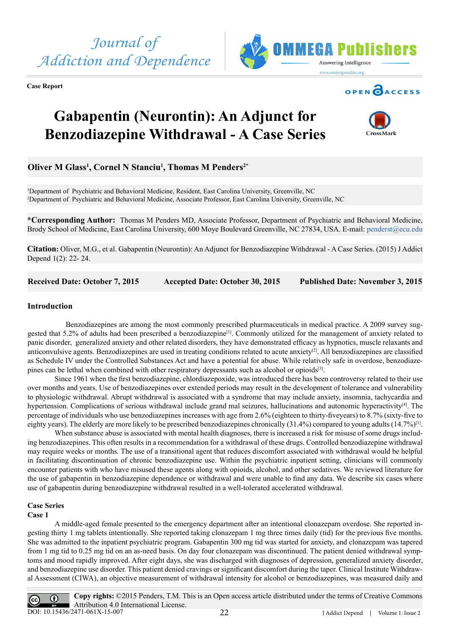

**Case Report**





# **Gabapentin (Neurontin): An Adjunct for Benzodiazepine Withdrawal - A Case Series**



# **Oliver M Glass1 , Cornel N Stanciu1 , Thomas M Penders2\***

1 Department of Psychiatric and Behavioral Medicine, Resident, East Carolina University, Greenville, NC 2 Department of Psychiatric and Behavioral Medicine, Associate Professor, East Carolina University, Greenville, NC

**\*Corresponding Author:** Thomas M Penders MD, Associate Professor, Department of Psychiatric and Behavioral Medicine, Brody School of Medicine, East Carolina University, 600 Moye Boulevard Greenville, NC 27834, USA. E-mail: [penderst@ecu.edu](mailto:penderst@ecu.edu)

**Citation:** Oliver, M.G., et al. Gabapentin (Neurontin): An Adjunct for Benzodiazepine Withdrawal - A Case Series. (2015) J Addict Depend 1(2): 22- 24.

**Received Date: October 7, 2015 Accepted Date: October 30, 2015 Published Date: November 3, 2015**

# **Introduction**

 Benzodiazepines are among the most commonly prescribed pharmaceuticals in medical practice. A 2009 survey suggested that 5.2% of adults had been prescribed a benzodiazepine<sup>[1]</sup>. Commonly utilized for the management of anxiety related to panic disorder, generalized anxiety and other related disorders, they have demonstrated efficacy as hypnotics, muscle relaxants and anticonvulsive agents. Benzodiazepines are used in treating conditions related to acute anxiety[2]. All benzodiazepines are classified as Schedule IV under the Controlled Substances Act and have a potential for abuse. While relatively safe in overdose, benzodiazepines can be lethal when combined with other respiratory depressants such as alcohol or opioids[3].

Since 1961 when the first benzodiazepine, chlordiazepoxide, was introduced there has been controversy related to their use over months and years. Use of benzodiazepines over extended periods may result in the development of tolerance and vulnerability to physiologic withdrawal. Abrupt withdrawal is associated with a syndrome that may include anxiety, insomnia, tachycardia and hypertension. Complications of serious withdrawal include grand mal seizures, hallucinations and autonomic hyperactivity<sup>[4]</sup>. The percentage of individuals who use benzodiazepines increases with age from 2.6% (eighteen to thirty-fiveyears) to 8.7% (sixty-five to eighty years). The elderly are more likely to be prescribed benzodiazepines chronically  $(31.4\%)$  compared to young adults  $(14.7\%)$ <sup>[1]</sup>.

When substance abuse is associated with mental health diagnoses, there is increased a risk for misuse of some drugs including benzodiazepines. This often results in a recommendation for a withdrawal of these drugs. Controlled benzodiazepine withdrawal may require weeks or months. The use of a transitional agent that reduces discomfort associated with withdrawal would be helpful in facilitating discontinuation of chronic benzodiazepine use. Within the psychiatric inpatient setting, clinicians will commonly encounter patients with who have misused these agents along with opioids, alcohol, and other sedatives. We reviewed literature for the use of gabapentin in benzodiazepine dependence or withdrawal and were unable to find any data. We describe six cases where use of gabapentin during benzodiazepine withdrawal resulted in a well-tolerated accelerated withdrawal.

# **Case Series**

## **Case 1**

A middle-aged female presented to the emergency department after an intentional clonazepam overdose. She reported ingesting thirty 1 mg tablets intentionally. She reported taking clonazepam 1 mg three times daily (tid) for the previous five months. She was admitted to the inpatient psychiatric program. Gabapentin 300 mg tid was started for anxiety, and clonazepam was tapered from 1 mg tid to 0.25 mg tid on an as-need basis. On day four clonazepam was discontinued. The patient denied withdrawal symptoms and mood rapidly improved. After eight days, she was discharged with diagnoses of depression, generalized anxiety disorder, and benzodiazepine use disorder. This patient denied cravings or significant discomfort during the taper. Clinical Institute Withdrawal Assessment (CIWA), an objective measurement of withdrawal intensity for alcohol or benzodiazepines, was measured daily and

**Copy rights:** ©2015 Penders, T.M. This is an Open access article distributed under the terms of Creative Commons  $\odot$ Attribution 4.0 International License. DOI: [10.15436/2471-061X-15-00](http://www.dx.doi.org/10.15436/2477-061X.15.007)7J Addict Depend | Volume 1: Issue 2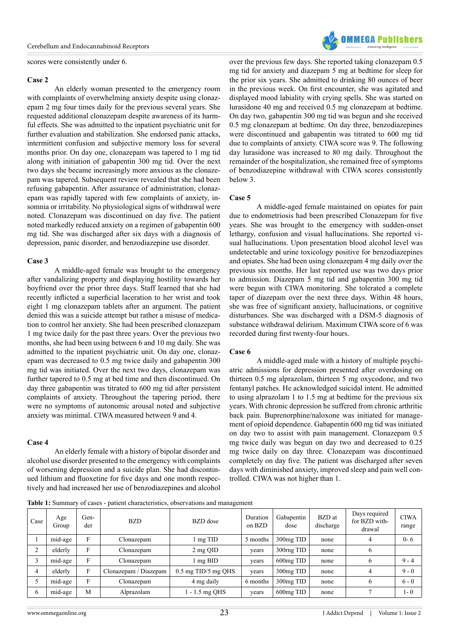scores were consistently under 6.

#### **Case 2**

An elderly woman presented to the emergency room with complaints of overwhelming anxiety despite using clonazepam 2 mg four times daily for the previous several years. She requested additional clonazepam despite awareness of its harmful effects. She was admitted to the inpatient psychiatric unit for further evaluation and stabilization. She endorsed panic attacks, intermittent confusion and subjective memory loss for several months prior. On day one, clonazepam was tapered to 1 mg tid along with initiation of gabapentin 300 mg tid. Over the next two days she became increasingly more anxious as the clonazepam was tapered. Subsequent review revealed that she had been refusing gabapentin. After assurance of administration, clonazepam was rapidly tapered with few complaints of anxiety, insomnia or irritability. No physiological signs of withdrawal were noted. Clonazepam was discontinued on day five. The patient noted markedly reduced anxiety on a regimen of gabapentin 600 mg tid. She was discharged after six days with a diagnosis of depression, panic disorder, and benzodiazepine use disorder.

## **Case 3**

A middle-aged female was brought to the emergency after vandalizing property and displaying hostility towards her boyfriend over the prior three days. Staff learned that she had recently inflicted a superficial laceration to her wrist and took eight 1 mg clonazepam tablets after an argument. The patient denied this was a suicide attempt but rather a misuse of medication to control her anxiety. She had been prescribed clonazepam 1 mg twice daily for the past three years. Over the previous two months, she had been using between 6 and 10 mg daily. She was admitted to the inpatient psychiatric unit. On day one, clonazepam was decreased to 0.5 mg twice daily and gabapentin 300 mg tid was initiated. Over the next two days, clonazepam was further tapered to 0.5 mg at bed time and then discontinued. On day three gabapentin was titrated to 600 mg tid after persistent complaints of anxiety. Throughout the tapering period, there were no symptoms of autonomic arousal noted and subjective anxiety was minimal. CIWA measured between 9 and 4.

#### **Case 4**

An elderly female with a history of bipolar disorder and alcohol use disorder presented to the emergency with complaints of worsening depression and a suicide plan. She had discontinued lithium and fluoxetine for five days and one month respectively and had increased her use of benzodiazepines and alcohol

over the previous few days. She reported taking clonazepam 0.5 mg tid for anxiety and diazepam 5 mg at bedtime for sleep for the prior six years. She admitted to drinking 80 ounces of beer in the previous week. On first encounter, she was agitated and displayed mood labiality with crying spells. She was started on lurasidone 40 mg and received 0.5 mg clonazepam at bedtime. On day two, gabapentin 300 mg tid was begun and she received 0.5 mg clonazepam at bedtime. On day three, benzodiazepines were discontinued and gabapentin was titrated to 600 mg tid due to complaints of anxiety. CIWA score was 9. The following day lurasidone was increased to 80 mg daily. Throughout the remainder of the hospitalization, she remained free of symptoms of benzodiazepine withdrawal with CIWA scores consistently below 3.

#### **Case 5**

A middle-aged female maintained on opiates for pain due to endometriosis had been prescribed Clonazepam for five years. She was brought to the emergency with sudden-onset lethargy, confusion and visual hallucinations. She reported visual hallucinations. Upon presentation blood alcohol level was undetectable and urine toxicology positive for benzodiazepines and opiates. She had been using clonazepam 4 mg daily over the previous six months. Her last reported use was two days prior to admission. Diazepam 5 mg tid and gabapentin 300 mg tid were begun with CIWA monitoring. She tolerated a complete taper of diazepam over the next three days. Within 48 hours, she was free of significant anxiety, hallucinations, or cognitive disturbances. She was discharged with a DSM-5 diagnosis of substance withdrawal delirium. Maximum CIWA score of 6 was recorded during first twenty-four hours.

#### **Case 6**

A middle-aged male with a history of multiple psychiatric admissions for depression presented after overdosing on thirteen 0.5 mg alprazolam, thirteen 5 mg oxycodone, and two fentanyl patches. He acknowledged suicidal intent. He admitted to using alprazolam 1 to 1.5 mg at bedtime for the previous six years. With chronic depression he suffered from chronic arthritic back pain. Buprenorphine/naloxone was initiated for management of opioid dependence. Gabapentin 600 mg tid was initiated on day two to assist with pain management. Clonazepam 0.5 mg twice daily was begun on day two and decreased to 0.25 mg twice daily on day three. Clonazepam was discontinued completely on day five. The patient was discharged after seven days with diminished anxiety, improved sleep and pain well controlled. CIWA was not higher than 1.

**Table 1:** Summary of cases - patient characteristics, observations and management

| Case | Age<br>Group | Gen-<br>der | <b>BZD</b>            | BZD dose              | Duration<br>on BZD | Gabapentin<br>dose     | BZD at<br>discharge | Days required<br>for BZD with-<br>drawal | <b>CIWA</b><br>range |
|------|--------------|-------------|-----------------------|-----------------------|--------------------|------------------------|---------------------|------------------------------------------|----------------------|
|      | mid-age      | F           | Clonazepam            | 1 mg TID              | 5 months           | 300mg TID              | none                |                                          | $0 - 6$              |
|      | elderly      | F           | Clonazepam            | 2 mg QID              | vears              | 300 <sub>rng</sub> TID | none                | 6                                        |                      |
|      | mid-age      | F           | Clonazepam            | $\ln p$ BID           | years              | $600$ mg TID           | none                | <sub>b</sub>                             | $9 - 4$              |
| 4    | elderly      | F           | Clonazepam / Diazepam | $0.5$ mg TID/5 mg QHS | vears              | 300mg TID              | none                |                                          | $9 - 0$              |
|      | mid-age      | F           | Clonazepam            | 4 mg daily            | 6 months           | 300mg TID              | none                | <sub>b</sub>                             | $6 - 0$              |
| 6    | mid-age      | M           | Alprazolam            | $-1.5$ mg QHS         | vears              | $600$ mg TID           | none                |                                          | $1-0$                |